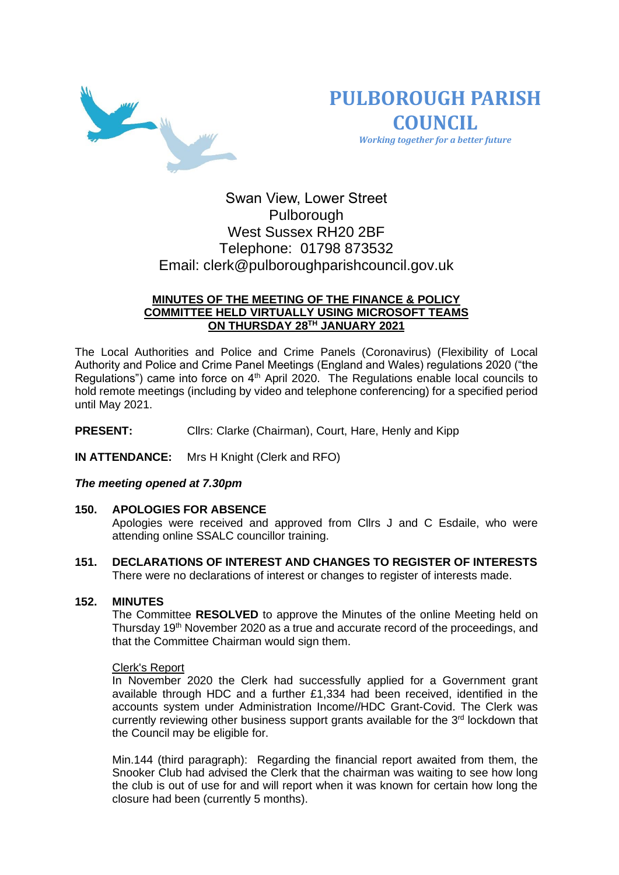

**PULBOROUGH PARISH COUNCIL** *Working together for a better future*

# Swan View, Lower Street Pulborough West Sussex RH20 2BF Telephone: 01798 873532 Email: [clerk@pulboroughparishcouncil.gov.uk](mailto:clerk@pulboroughparishcouncil.gov.uk)

# **MINUTES OF THE MEETING OF THE FINANCE & POLICY COMMITTEE HELD VIRTUALLY USING MICROSOFT TEAMS ON THURSDAY 28TH JANUARY 2021**

The Local Authorities and Police and Crime Panels (Coronavirus) (Flexibility of Local Authority and Police and Crime Panel Meetings (England and Wales) regulations 2020 ("the Regulations") came into force on 4<sup>th</sup> April 2020. The Regulations enable local councils to hold remote meetings (including by video and telephone conferencing) for a specified period until May 2021.

**PRESENT:** Clirs: Clarke (Chairman), Court, Hare, Henly and Kipp

**IN ATTENDANCE:** Mrs H Knight (Clerk and RFO)

# *The meeting opened at 7.30pm*

### **150. APOLOGIES FOR ABSENCE**

Apologies were received and approved from Cllrs J and C Esdaile, who were attending online SSALC councillor training.

**151. DECLARATIONS OF INTEREST AND CHANGES TO REGISTER OF INTERESTS** There were no declarations of interest or changes to register of interests made.

### **152. MINUTES**

The Committee **RESOLVED** to approve the Minutes of the online Meeting held on Thursday 19<sup>th</sup> November 2020 as a true and accurate record of the proceedings, and that the Committee Chairman would sign them.

### Clerk's Report

In November 2020 the Clerk had successfully applied for a Government grant available through HDC and a further £1,334 had been received, identified in the accounts system under Administration Income//HDC Grant-Covid. The Clerk was currently reviewing other business support grants available for the  $3<sup>rd</sup>$  lockdown that the Council may be eligible for.

Min.144 (third paragraph): Regarding the financial report awaited from them, the Snooker Club had advised the Clerk that the chairman was waiting to see how long the club is out of use for and will report when it was known for certain how long the closure had been (currently 5 months).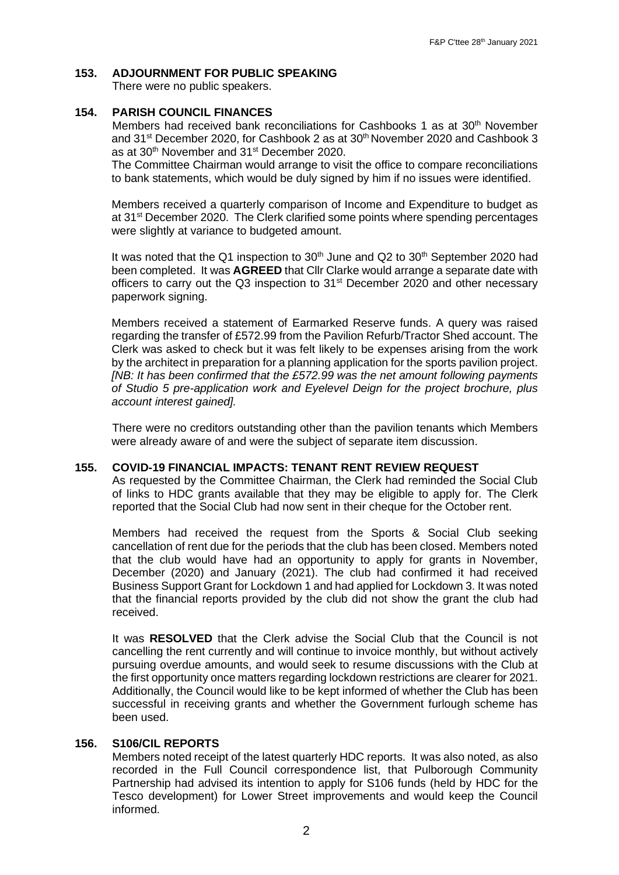# **153. ADJOURNMENT FOR PUBLIC SPEAKING**

There were no public speakers.

## **154. PARISH COUNCIL FINANCES**

Members had received bank reconciliations for Cashbooks 1 as at  $30<sup>th</sup>$  November and 31<sup>st</sup> December 2020, for Cashbook 2 as at 30<sup>th</sup> November 2020 and Cashbook 3 as at 30<sup>th</sup> November and 31<sup>st</sup> December 2020.

The Committee Chairman would arrange to visit the office to compare reconciliations to bank statements, which would be duly signed by him if no issues were identified.

Members received a quarterly comparison of Income and Expenditure to budget as at 31<sup>st</sup> December 2020. The Clerk clarified some points where spending percentages were slightly at variance to budgeted amount.

It was noted that the Q1 inspection to 30<sup>th</sup> June and Q2 to 30<sup>th</sup> September 2020 had been completed. It was **AGREED** that Cllr Clarke would arrange a separate date with officers to carry out the Q3 inspection to  $31<sup>st</sup>$  December 2020 and other necessary paperwork signing.

Members received a statement of Earmarked Reserve funds. A query was raised regarding the transfer of £572.99 from the Pavilion Refurb/Tractor Shed account. The Clerk was asked to check but it was felt likely to be expenses arising from the work by the architect in preparation for a planning application for the sports pavilion project. *[NB: It has been confirmed that the £572.99 was the net amount following payments of Studio 5 pre-application work and Eyelevel Deign for the project brochure, plus account interest gained].*

There were no creditors outstanding other than the pavilion tenants which Members were already aware of and were the subject of separate item discussion.

### **155. COVID-19 FINANCIAL IMPACTS: TENANT RENT REVIEW REQUEST**

As requested by the Committee Chairman, the Clerk had reminded the Social Club of links to HDC grants available that they may be eligible to apply for. The Clerk reported that the Social Club had now sent in their cheque for the October rent.

Members had received the request from the Sports & Social Club seeking cancellation of rent due for the periods that the club has been closed. Members noted that the club would have had an opportunity to apply for grants in November, December (2020) and January (2021). The club had confirmed it had received Business Support Grant for Lockdown 1 and had applied for Lockdown 3. It was noted that the financial reports provided by the club did not show the grant the club had received.

It was **RESOLVED** that the Clerk advise the Social Club that the Council is not cancelling the rent currently and will continue to invoice monthly, but without actively pursuing overdue amounts, and would seek to resume discussions with the Club at the first opportunity once matters regarding lockdown restrictions are clearer for 2021. Additionally, the Council would like to be kept informed of whether the Club has been successful in receiving grants and whether the Government furlough scheme has been used.

## **156. S106/CIL REPORTS**

Members noted receipt of the latest quarterly HDC reports. It was also noted, as also recorded in the Full Council correspondence list, that Pulborough Community Partnership had advised its intention to apply for S106 funds (held by HDC for the Tesco development) for Lower Street improvements and would keep the Council informed.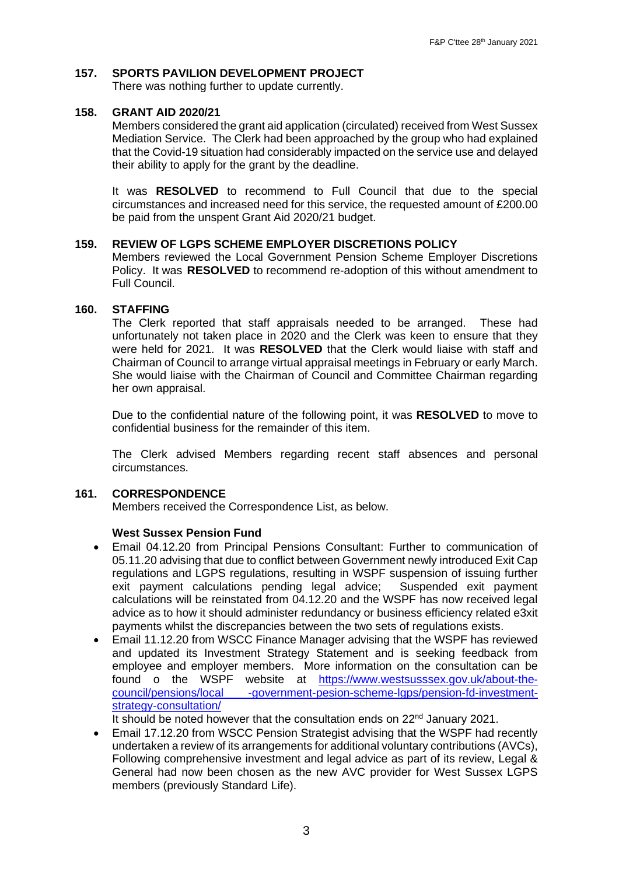# **157. SPORTS PAVILION DEVELOPMENT PROJECT**

There was nothing further to update currently.

## **158. GRANT AID 2020/21**

Members considered the grant aid application (circulated) received from West Sussex Mediation Service. The Clerk had been approached by the group who had explained that the Covid-19 situation had considerably impacted on the service use and delayed their ability to apply for the grant by the deadline.

It was **RESOLVED** to recommend to Full Council that due to the special circumstances and increased need for this service, the requested amount of £200.00 be paid from the unspent Grant Aid 2020/21 budget.

## **159. REVIEW OF LGPS SCHEME EMPLOYER DISCRETIONS POLICY**

Members reviewed the Local Government Pension Scheme Employer Discretions Policy. It was **RESOLVED** to recommend re-adoption of this without amendment to Full Council.

## **160. STAFFING**

The Clerk reported that staff appraisals needed to be arranged. These had unfortunately not taken place in 2020 and the Clerk was keen to ensure that they were held for 2021. It was **RESOLVED** that the Clerk would liaise with staff and Chairman of Council to arrange virtual appraisal meetings in February or early March. She would liaise with the Chairman of Council and Committee Chairman regarding her own appraisal.

Due to the confidential nature of the following point, it was **RESOLVED** to move to confidential business for the remainder of this item.

The Clerk advised Members regarding recent staff absences and personal circumstances.

### **161. CORRESPONDENCE**

Members received the Correspondence List, as below.

### **West Sussex Pension Fund**

- Email 04.12.20 from Principal Pensions Consultant: Further to communication of 05.11.20 advising that due to conflict between Government newly introduced Exit Cap regulations and LGPS regulations, resulting in WSPF suspension of issuing further exit payment calculations pending legal advice; Suspended exit payment calculations will be reinstated from 04.12.20 and the WSPF has now received legal advice as to how it should administer redundancy or business efficiency related e3xit payments whilst the discrepancies between the two sets of regulations exists.
- Email 11.12.20 from WSCC Finance Manager advising that the WSPF has reviewed and updated its Investment Strategy Statement and is seeking feedback from employee and employer members. More information on the consultation can be found o the WSPF website at [https://www.westsusssex.gov.uk/about-the](https://www.westsusssex.gov.uk/about-the-council/pensions/local%20-government-pesion-scheme-lgps/pension-fd-investment-strategy-consultation/)[council/pensions/local -government-pesion-scheme-lgps/pension-fd-investment](https://www.westsusssex.gov.uk/about-the-council/pensions/local%20-government-pesion-scheme-lgps/pension-fd-investment-strategy-consultation/)[strategy-consultation/](https://www.westsusssex.gov.uk/about-the-council/pensions/local%20-government-pesion-scheme-lgps/pension-fd-investment-strategy-consultation/)

It should be noted however that the consultation ends on 22<sup>nd</sup> January 2021.

• Email 17.12.20 from WSCC Pension Strategist advising that the WSPF had recently undertaken a review of its arrangements for additional voluntary contributions (AVCs), Following comprehensive investment and legal advice as part of its review, Legal & General had now been chosen as the new AVC provider for West Sussex LGPS members (previously Standard Life).